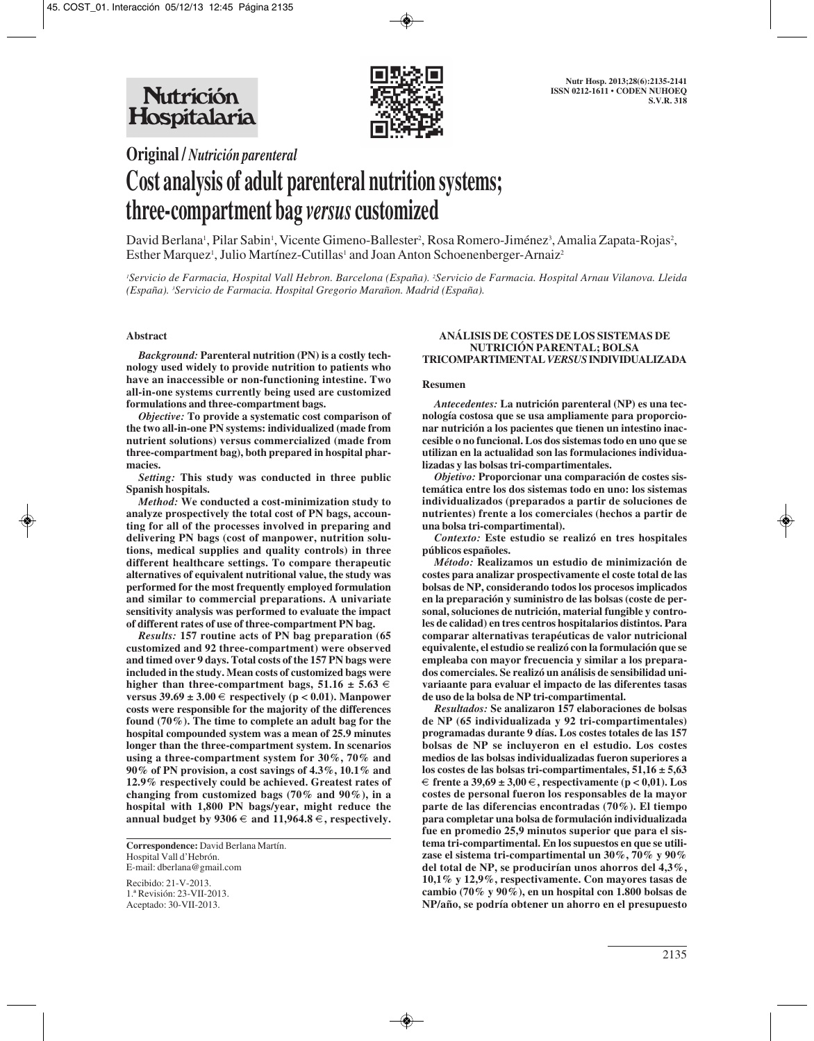

**Original /** *Nutrición parenteral*

# **Cost analysis of adult parenteral nutrition systems; three-compartment bag** *versus* **customized**

David Berlana', Pilar Sabin', Vicente Gimeno-Ballester<sup>2</sup>, Rosa Romero-Jiménez<sup>3</sup>, Amalia Zapata-Rojas<sup>2</sup>, Esther Marquez', Julio Martínez-Cutillas' and Joan Anton Schoenenberger-Arnaiz<sup>2</sup>

*1 Servicio de Farmacia, Hospital Vall Hebron. Barcelona (España). 2 Servicio de Farmacia. Hospital Arnau Vilanova. Lleida (España). 3 Servicio de Farmacia. Hospital Gregorio Marañon. Madrid (España).* 

# **Abstract**

*Background:* **Parenteral nutrition (PN) is a costly technology used widely to provide nutrition to patients who have an inaccessible or non-functioning intestine. Two all-in-one systems currently being used are customized formulations and three-compartment bags.**

*Objective:* **To provide a systematic cost comparison of the two all-in-one PN systems: individualized (made from nutrient solutions) versus commercialized (made from three-compartment bag), both prepared in hospital pharmacies.**

*Setting:* **This study was conducted in three public Spanish hospitals.**

*Method:* **We conducted a cost-minimization study to analyze prospectively the total cost of PN bags, accounting for all of the processes involved in preparing and delivering PN bags (cost of manpower, nutrition solutions, medical supplies and quality controls) in three different healthcare settings. To compare therapeutic alternatives of equivalent nutritional value, the study was performed for the most frequently employed formulation and similar to commercial preparations. A univariate sensitivity analysis was performed to evaluate the impact of different rates of use of three-compartment PN bag.**

*Results:* **157 routine acts of PN bag preparation (65 customized and 92 three-compartment) were observed and timed over 9 days. Total costs of the 157 PN bags were included in the study. Mean costs of customized bags were** higher than three-compartment bags,  $51.16 \pm 5.63 \in$ **versus 39.69 ± 3.00 €** respectively ( $p$  < 0.01). Manpower **costs were responsible for the majority of the differences found (70%). The time to complete an adult bag for the hospital compounded system was a mean of 25.9 minutes longer than the three-compartment system. In scenarios using a three-compartment system for 30%, 70% and 90% of PN provision, a cost savings of 4.3%, 10.1% and 12.9% respectively could be achieved. Greatest rates of changing from customized bags (70% and 90%), in a hospital with 1,800 PN bags/year, might reduce the annual budget by 9306**  $∈$  **and 11,964.8**  $∈$ **, respectively.** 

**Correspondence:** David Berlana Martín. Hospital Vall d'Hebrón. E-mail: dberlana@gmail.com

Recibido: 21-V-2013. 1.ª Revisión: 23-VII-2013. Aceptado: 30-VII-2013.

#### **ANÁLISIS DE COSTES DE LOS SISTEMAS DE NUTRICIÓN PARENTAL; BOLSA TRICOMPARTIMENTAL** *VERSUS***INDIVIDUALIZADA**

#### **Resumen**

*Antecedentes:* **La nutrición parenteral (NP) es una tecnología costosa que se usa ampliamente para proporcionar nutrición a los pacientes que tienen un intestino inaccesible o no funcional. Los dos sistemas todo en uno que se utilizan en la actualidad son las formulaciones individualizadas y las bolsas tri-compartimentales.**

*Objetivo:* **Proporcionar una comparación de costes sistemática entre los dos sistemas todo en uno: los sistemas individualizados (preparados a partir de soluciones de nutrientes) frente a los comerciales (hechos a partir de una bolsa tri-compartimental).**

*Contexto:* **Este estudio se realizó en tres hospitales públicos españoles.**

*Método:* **Realizamos un estudio de minimización de costes para analizar prospectivamente el coste total de las bolsas de NP, considerando todos los procesos implicados en la preparación y suministro de las bolsas (coste de personal, soluciones de nutrición, material fungible y controles de calidad) en tres centros hospitalarios distintos. Para comparar alternativas terapéuticas de valor nutricional equivalente, el estudio se realizó con la formulación que se empleaba con mayor frecuencia y similar a los preparados comerciales. Se realizó un análisis de sensibilidad univariaante para evaluar el impacto de las diferentes tasas de uso de la bolsa de NP tri-compartimental.**

*Resultados:* **Se analizaron 157 elaboraciones de bolsas de NP (65 individualizada y 92 tri-compartimentales) programadas durante 9 días. Los costes totales de las 157 bolsas de NP se incluyeron en el estudio. Los costes medios de las bolsas individualizadas fueron superiores a los costes de las bolsas tri-compartimentales, 51,16 ± 5,63** € **frente a 39,69 ± 3,00** €**, respectivamente (p < 0,01). Los costes de personal fueron los responsables de la mayor parte de las diferencias encontradas (70%). El tiempo para completar una bolsa de formulación individualizada fue en promedio 25,9 minutos superior que para el sistema tri-compartimental. En los supuestos en que se utilizase el sistema tri-compartimental un 30%, 70% y 90% del total de NP, se producirían unos ahorros del 4,3%, 10,1% y 12,9%, respectivamente. Con mayores tasas de cambio (70% y 90%), en un hospital con 1.800 bolsas de NP/año, se podría obtener un ahorro en el presupuesto**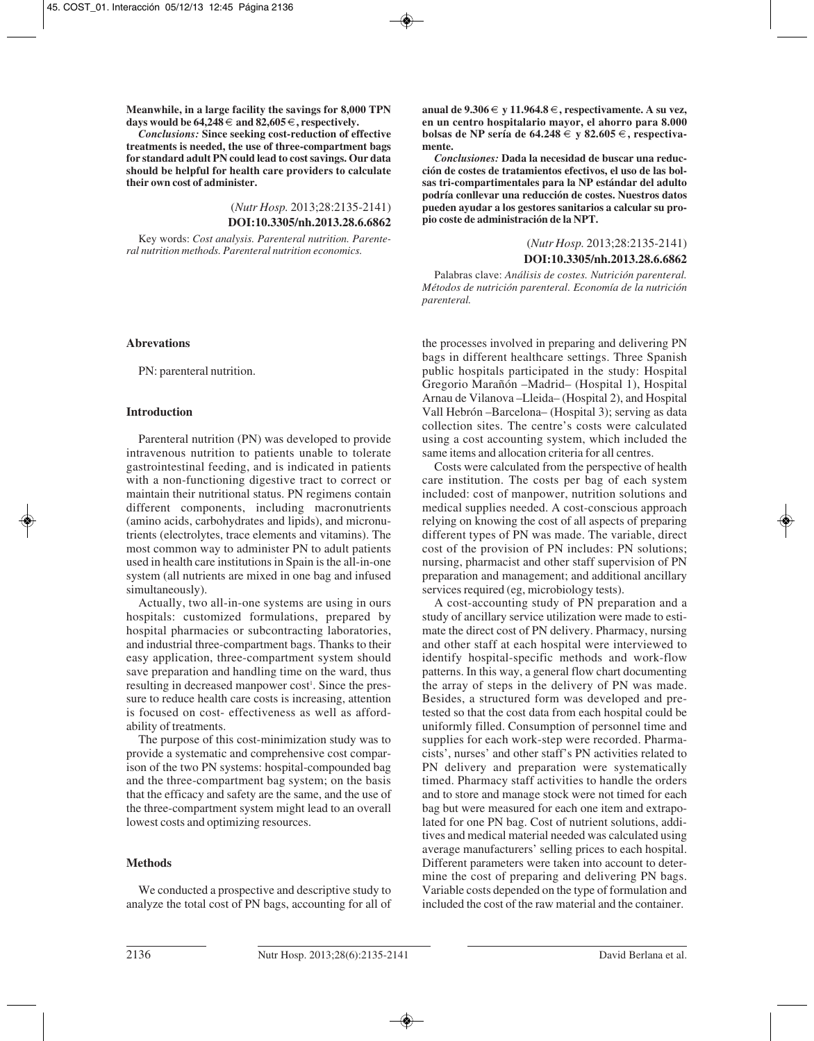**Meanwhile, in a large facility the savings for 8,000 TPN** days would be  $64,248 \in$  and  $82,605 \in$ , respectively.

*Conclusions:* **Since seeking cost-reduction of effective treatments is needed, the use of three-compartment bags for standard adult PN could lead to cost savings. Our data should be helpful for health care providers to calculate their own cost of administer.**

> (*Nutr Hosp.* 2013;28:2135-2141) **DOI:10.3305/nh.2013.28.6.6862**

Key words: *Cost analysis. Parenteral nutrition. Parenteral nutrition methods. Parenteral nutrition economics.*

## **Abrevations**

PN: parenteral nutrition.

# **Introduction**

Parenteral nutrition (PN) was developed to provide intravenous nutrition to patients unable to tolerate gastrointestinal feeding, and is indicated in patients with a non-functioning digestive tract to correct or maintain their nutritional status. PN regimens contain different components, including macronutrients (amino acids, carbohydrates and lipids), and micronutrients (electrolytes, trace elements and vitamins). The most common way to administer PN to adult patients used in health care institutions in Spain is the all-in-one system (all nutrients are mixed in one bag and infused simultaneously).

Actually, two all-in-one systems are using in ours hospitals: customized formulations, prepared by hospital pharmacies or subcontracting laboratories, and industrial three-compartment bags. Thanks to their easy application, three-compartment system should save preparation and handling time on the ward, thus resulting in decreased manpower cost<sup>1</sup>. Since the pressure to reduce health care costs is increasing, attention is focused on cost- effectiveness as well as affordability of treatments.

The purpose of this cost-minimization study was to provide a systematic and comprehensive cost comparison of the two PN systems: hospital-compounded bag and the three-compartment bag system; on the basis that the efficacy and safety are the same, and the use of the three-compartment system might lead to an overall lowest costs and optimizing resources.

# **Methods**

We conducted a prospective and descriptive study to analyze the total cost of PN bags, accounting for all of **anual de 9.306** € **y 11.964.8** €**, respectivamente. A su vez, en un centro hospitalario mayor, el ahorro para 8.000 bolsas de NP sería de 64.248** € **y 82.605** €**, respectivamente.**

*Conclusiones:* **Dada la necesidad de buscar una reducción de costes de tratamientos efectivos, el uso de las bolsas tri-compartimentales para la NP estándar del adulto podría conllevar una reducción de costes. Nuestros datos pueden ayudar a los gestores sanitarios a calcular su propio coste de administración de la NPT.**

> (*Nutr Hosp.* 2013;28:2135-2141) **DOI:10.3305/nh.2013.28.6.6862**

Palabras clave: *Análisis de costes. Nutrición parenteral. Métodos de nutrición parenteral. Economía de la nutrición parenteral.*

the processes involved in preparing and delivering PN bags in different healthcare settings. Three Spanish public hospitals participated in the study: Hospital Gregorio Marañón –Madrid– (Hospital 1), Hospital Arnau de Vilanova –Lleida– (Hospital 2), and Hospital Vall Hebrón –Barcelona– (Hospital 3); serving as data collection sites. The centre's costs were calculated using a cost accounting system, which included the same items and allocation criteria for all centres.

Costs were calculated from the perspective of health care institution. The costs per bag of each system included: cost of manpower, nutrition solutions and medical supplies needed. A cost-conscious approach relying on knowing the cost of all aspects of preparing different types of PN was made. The variable, direct cost of the provision of PN includes: PN solutions; nursing, pharmacist and other staff supervision of PN preparation and management; and additional ancillary services required (eg, microbiology tests).

A cost-accounting study of PN preparation and a study of ancillary service utilization were made to estimate the direct cost of PN delivery. Pharmacy, nursing and other staff at each hospital were interviewed to identify hospital-specific methods and work-flow patterns. In this way, a general flow chart documenting the array of steps in the delivery of PN was made. Besides, a structured form was developed and pretested so that the cost data from each hospital could be uniformly filled. Consumption of personnel time and supplies for each work-step were recorded. Pharmacists', nurses' and other staff's PN activities related to PN delivery and preparation were systematically timed. Pharmacy staff activities to handle the orders and to store and manage stock were not timed for each bag but were measured for each one item and extrapolated for one PN bag. Cost of nutrient solutions, additives and medical material needed was calculated using average manufacturers' selling prices to each hospital. Different parameters were taken into account to determine the cost of preparing and delivering PN bags. Variable costs depended on the type of formulation and included the cost of the raw material and the container.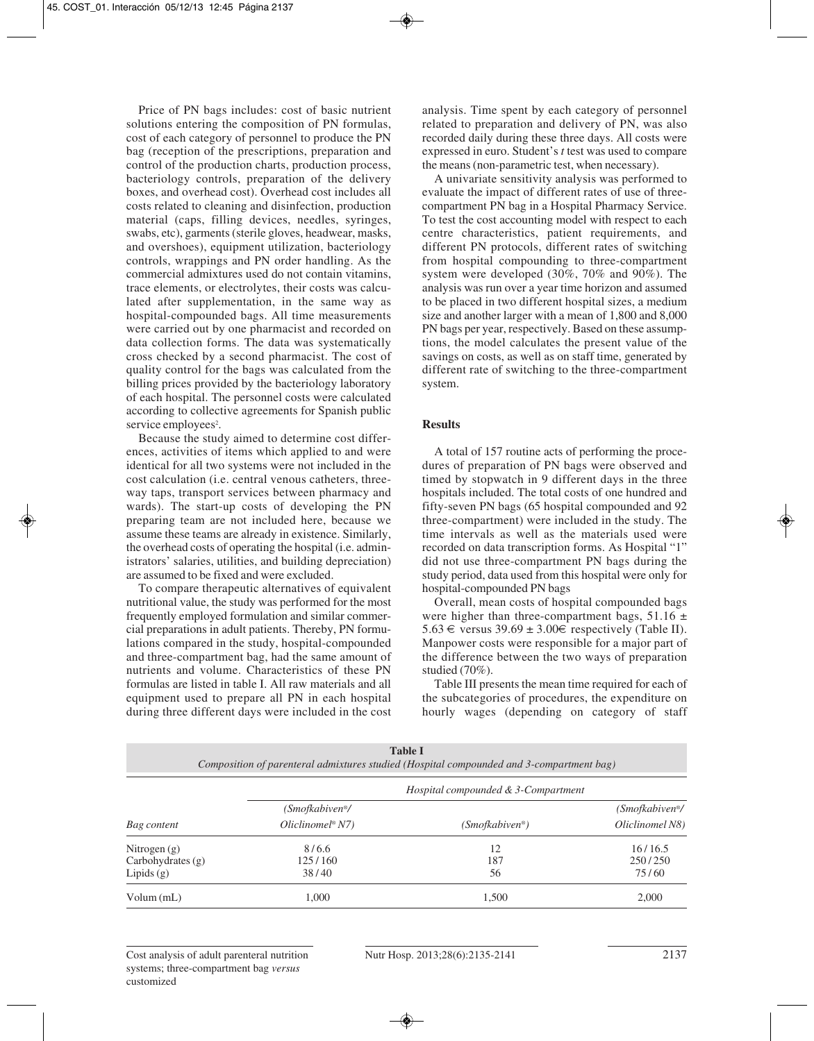Price of PN bags includes: cost of basic nutrient solutions entering the composition of PN formulas, cost of each category of personnel to produce the PN bag (reception of the prescriptions, preparation and control of the production charts, production process, bacteriology controls, preparation of the delivery boxes, and overhead cost). Overhead cost includes all costs related to cleaning and disinfection, production material (caps, filling devices, needles, syringes, swabs, etc), garments (sterile gloves, headwear, masks, and overshoes), equipment utilization, bacteriology controls, wrappings and PN order handling. As the commercial admixtures used do not contain vitamins, trace elements, or electrolytes, their costs was calculated after supplementation, in the same way as hospital-compounded bags. All time measurements were carried out by one pharmacist and recorded on data collection forms. The data was systematically cross checked by a second pharmacist. The cost of quality control for the bags was calculated from the billing prices provided by the bacteriology laboratory of each hospital. The personnel costs were calculated according to collective agreements for Spanish public service employees<sup>2</sup>.

Because the study aimed to determine cost differences, activities of items which applied to and were identical for all two systems were not included in the cost calculation (i.e. central venous catheters, threeway taps, transport services between pharmacy and wards). The start-up costs of developing the PN preparing team are not included here, because we assume these teams are already in existence. Similarly, the overhead costs of operating the hospital (i.e. administrators' salaries, utilities, and building depreciation) are assumed to be fixed and were excluded.

To compare therapeutic alternatives of equivalent nutritional value, the study was performed for the most frequently employed formulation and similar commercial preparations in adult patients. Thereby, PN formulations compared in the study, hospital-compounded and three-compartment bag, had the same amount of nutrients and volume. Characteristics of these PN formulas are listed in table I. All raw materials and all equipment used to prepare all PN in each hospital during three different days were included in the cost

analysis. Time spent by each category of personnel related to preparation and delivery of PN, was also recorded daily during these three days. All costs were expressed in euro. Student's *t* test was used to compare the means (non-parametric test, when necessary).

A univariate sensitivity analysis was performed to evaluate the impact of different rates of use of threecompartment PN bag in a Hospital Pharmacy Service. To test the cost accounting model with respect to each centre characteristics, patient requirements, and different PN protocols, different rates of switching from hospital compounding to three-compartment system were developed (30%, 70% and 90%). The analysis was run over a year time horizon and assumed to be placed in two different hospital sizes, a medium size and another larger with a mean of 1,800 and 8,000 PN bags per year, respectively. Based on these assumptions, the model calculates the present value of the savings on costs, as well as on staff time, generated by different rate of switching to the three-compartment system.

# **Results**

A total of 157 routine acts of performing the procedures of preparation of PN bags were observed and timed by stopwatch in 9 different days in the three hospitals included. The total costs of one hundred and fifty-seven PN bags (65 hospital compounded and 92 three-compartment) were included in the study. The time intervals as well as the materials used were recorded on data transcription forms. As Hospital "1" did not use three-compartment PN bags during the study period, data used from this hospital were only for hospital-compounded PN bags

Overall, mean costs of hospital compounded bags were higher than three-compartment bags,  $51.16 \pm$ 5.63 € versus  $39.69 \pm 3.00$  ∈ respectively (Table II). Manpower costs were responsible for a major part of the difference between the two ways of preparation studied (70%).

Table III presents the mean time required for each of the subcategories of procedures, the expenditure on hourly wages (depending on category of staff

| <b>TADIC L</b><br>Composition of parenteral admixtures studied (Hospital compounded and 3-compartment bag) |                                     |                |                                         |  |  |
|------------------------------------------------------------------------------------------------------------|-------------------------------------|----------------|-----------------------------------------|--|--|
|                                                                                                            | Hospital compounded & 3-Compartment |                |                                         |  |  |
|                                                                                                            | (Smofkabiven <sup>®</sup> /         |                | (Smofkabiven <sup>®</sup> / <sup></sup> |  |  |
| Bag content                                                                                                | $Oliclinomel^{\circ} N7$            | (Smofkabiven®) | Oliclinomel N8)                         |  |  |
| Nitrogen $(g)$                                                                                             | 8/6.6                               | 12             | 16/16.5                                 |  |  |
| Carbohydrates $(g)$                                                                                        | 125/160                             | 187            | 250/250                                 |  |  |
| Lipids $(g)$                                                                                               | 38/40                               | 56             | 75/60                                   |  |  |
| Volume(mL)                                                                                                 | 1.000                               | 1,500          | 2,000                                   |  |  |

**Table I**

Cost analysis of adult parenteral nutrition systems; three-compartment bag *versus* customized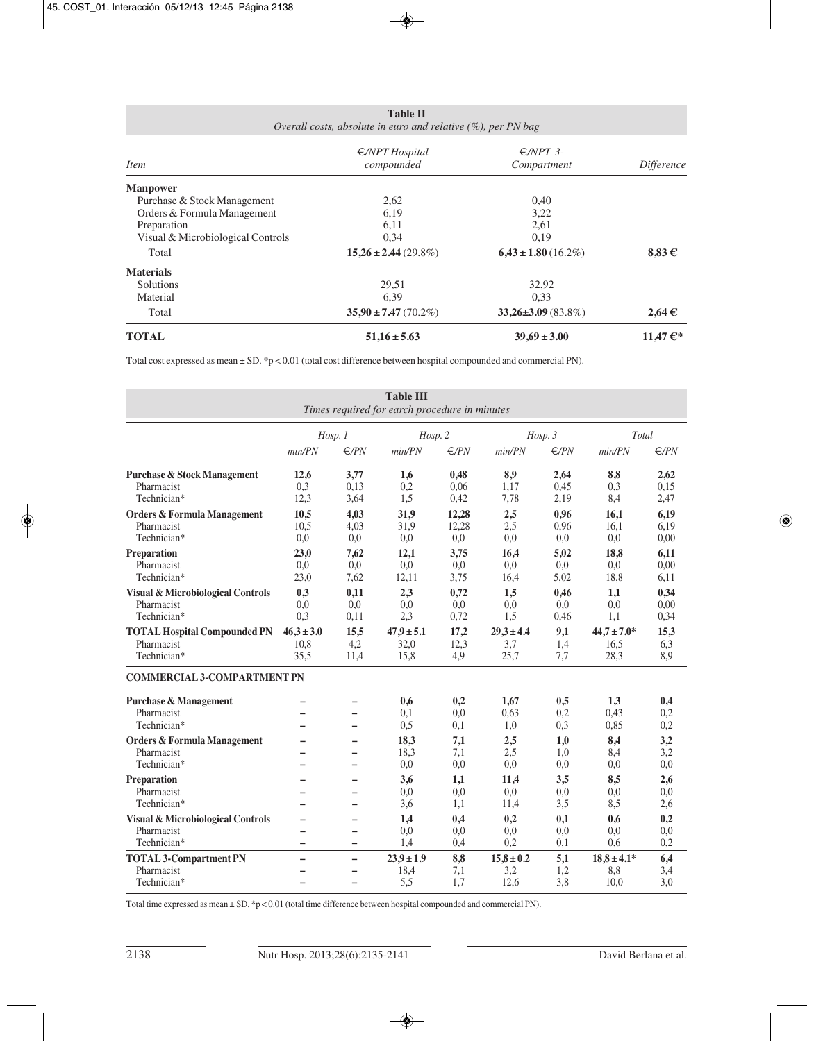| <b>Table II</b><br>Overall costs, absolute in euro and relative $(\%)$ , per PN bag |                                        |                                   |                   |  |  |
|-------------------------------------------------------------------------------------|----------------------------------------|-----------------------------------|-------------------|--|--|
| <i>Item</i>                                                                         | $\epsilon$ /NPT Hospital<br>compounded | $\epsilon$ /NPT 3-<br>Compartment | <i>Difference</i> |  |  |
| <b>Manpower</b>                                                                     |                                        |                                   |                   |  |  |
| Purchase & Stock Management                                                         | 2,62                                   | 0,40                              |                   |  |  |
| Orders & Formula Management                                                         | 6,19                                   | 3,22                              |                   |  |  |
| Preparation                                                                         | 6,11                                   | 2,61                              |                   |  |  |
| Visual & Microbiological Controls                                                   | 0,34                                   | 0,19                              |                   |  |  |
| Total                                                                               | $15,26 \pm 2,44(29.8\%)$               | $6,43 \pm 1.80$ (16.2%)           | $8,83 \in$        |  |  |
| <b>Materials</b>                                                                    |                                        |                                   |                   |  |  |
| <b>Solutions</b>                                                                    | 29,51                                  | 32,92                             |                   |  |  |
| Material                                                                            | 6,39                                   | 0.33                              |                   |  |  |
| Total                                                                               | $35.90 \pm 7.47(70.2\%)$               | $33,26\pm3.09(83.8\%)$            | $2,64 \in$        |  |  |
| <b>TOTAL</b>                                                                        | $51,16 \pm 5.63$                       | $39,69 \pm 3,00$                  | 11,47 €*          |  |  |

Total cost expressed as mean ± SD. \*p < 0.01 (total cost difference between hospital compounded and commercial PN).

| <b>Table III</b><br>Times required for earch procedure in minutes         |                                |                      |                                |                       |                               |                      |                                 |                      |
|---------------------------------------------------------------------------|--------------------------------|----------------------|--------------------------------|-----------------------|-------------------------------|----------------------|---------------------------------|----------------------|
|                                                                           |                                | Hosp.1               | Hosp. 2                        |                       |                               | $Hosp.$ 3            | Total                           |                      |
|                                                                           | min/PN                         | E/PN                 | min/PN                         | €/PN                  | min/PN                        | $\in$ /PN            | min/PN                          | €/PN                 |
| <b>Purchase &amp; Stock Management</b><br>Pharmacist<br>Technician*       | 12,6<br>0.3<br>12,3            | 3,77<br>0,13<br>3,64 | 1,6<br>0,2<br>1,5              | 0,48<br>0,06<br>0,42  | 8,9<br>1,17<br>7,78           | 2,64<br>0.45<br>2,19 | 8,8<br>0,3<br>8,4               | 2,62<br>0.15<br>2,47 |
| <b>Orders &amp; Formula Management</b><br>Pharmacist<br>Technician*       | 10,5<br>10,5<br>0.0            | 4,03<br>4,03<br>0,0  | 31,9<br>31,9<br>0,0            | 12,28<br>12,28<br>0,0 | 2,5<br>2,5<br>0.0             | 0,96<br>0,96<br>0.0  | 16,1<br>16,1<br>0,0             | 6,19<br>6,19<br>0,00 |
| Preparation<br>Pharmacist<br>Technician*                                  | 23.0<br>0.0<br>23,0            | 7,62<br>0.0<br>7,62  | 12.1<br>0.0<br>12,11           | 3,75<br>0.0<br>3,75   | 16.4<br>0.0<br>16,4           | 5.02<br>0.0<br>5,02  | 18.8<br>0.0<br>18,8             | 6.11<br>0.00<br>6,11 |
| <b>Visual &amp; Microbiological Controls</b><br>Pharmacist<br>Technician* | 0,3<br>0.0<br>0,3              | 0,11<br>0,0<br>0,11  | 2,3<br>0.0<br>2,3              | 0,72<br>0.0<br>0,72   | 1,5<br>0.0<br>1,5             | 0,46<br>0.0<br>0,46  | 1,1<br>0.0<br>1,1               | 0,34<br>0,00<br>0,34 |
| <b>TOTAL Hospital Compounded PN</b><br>Pharmacist<br>Technician*          | $46,3 \pm 3.0$<br>10,8<br>35,5 | 15.5<br>4,2<br>11,4  | $47.9 \pm 5.1$<br>32,0<br>15,8 | 17,2<br>12,3<br>4,9   | $29.3 \pm 4.4$<br>3,7<br>25,7 | 9,1<br>1,4<br>7,7    | $44.7 \pm 7.0*$<br>16,5<br>28,3 | 15.3<br>6,3<br>8,9   |
| <b>COMMERCIAL 3-COMPARTMENT PN</b>                                        |                                |                      |                                |                       |                               |                      |                                 |                      |
| <b>Purchase &amp; Management</b><br>Pharmacist<br>Technician*             |                                | -                    | 0,6<br>0.1<br>0,5              | 0.2<br>0.0<br>0,1     | 1,67<br>0.63<br>1,0           | 0,5<br>0,2<br>0.3    | 1,3<br>0.43<br>0,85             | 0,4<br>0,2<br>0,2    |
| <b>Orders &amp; Formula Management</b><br>Pharmacist<br>Technician*       |                                | -<br>-<br>-          | 18,3<br>18,3<br>0,0            | 7,1<br>7,1<br>0,0     | 2,5<br>2,5<br>0,0             | 1,0<br>1,0<br>0,0    | 8,4<br>8,4<br>0,0               | 3,2<br>3,2<br>0,0    |
| Preparation<br>Pharmacist<br>Technician*                                  |                                | -<br>-               | 3,6<br>0.0<br>3,6              | 1,1<br>0.0<br>1,1     | 11,4<br>0.0<br>11,4           | 3,5<br>0.0<br>3,5    | 8,5<br>0.0<br>8,5               | 2,6<br>0.0<br>2,6    |
| <b>Visual &amp; Microbiological Controls</b><br>Pharmacist<br>Technician* | -                              | -<br>-               | 1,4<br>0,0<br>1.4              | 0,4<br>0.0<br>0,4     | 0,2<br>0.0<br>0,2             | 0,1<br>0,0<br>0,1    | 0,6<br>0.0<br>0.6               | 0,2<br>0.0<br>0,2    |
| <b>TOTAL 3-Compartment PN</b><br>Pharmacist<br>Technician*                | $\overline{\phantom{0}}$<br>-  | $\equiv$<br>-        | $23.9 \pm 1.9$<br>18,4<br>5,5  | 8,8<br>7,1<br>1,7     | $15,8 \pm 0.2$<br>3,2<br>12,6 | 5,1<br>1,2<br>3,8    | $18,8 \pm 4.1*$<br>8,8<br>10,0  | 6,4<br>3,4<br>3,0    |

Total time expressed as mean ± SD. \*p < 0.01 (total time difference between hospital compounded and commercial PN).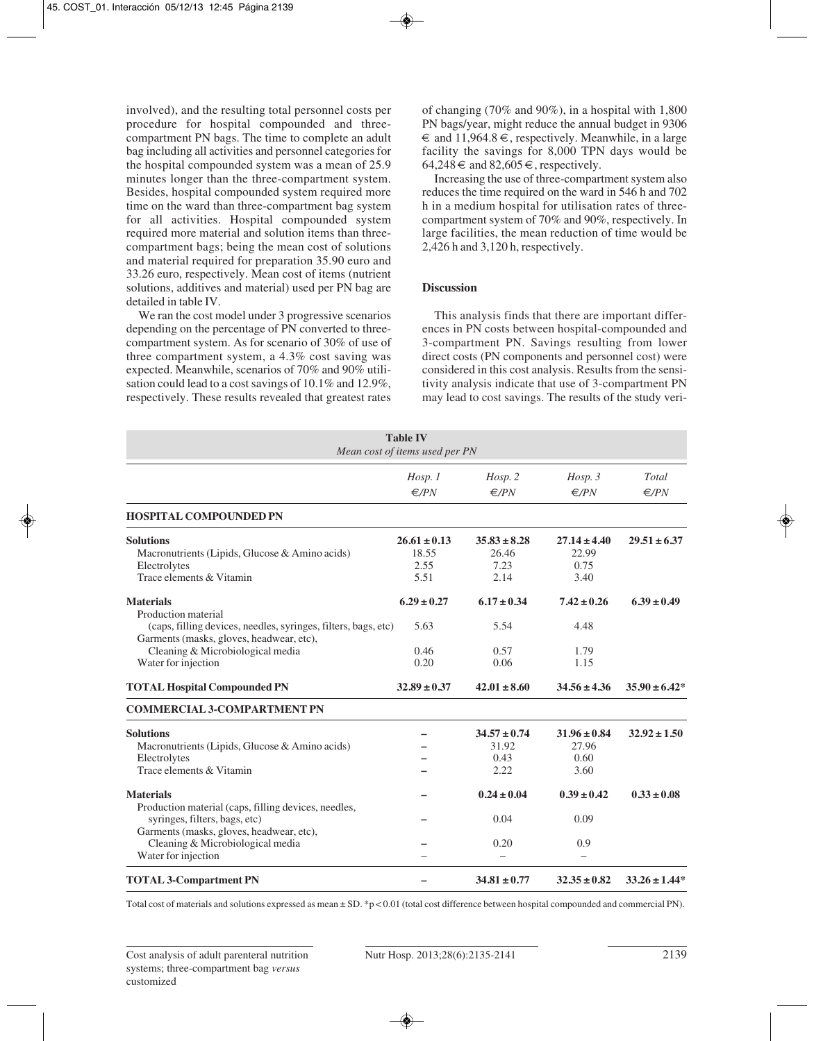involved), and the resulting total personnel costs per procedure for hospital compounded and threecompartment PN bags. The time to complete an adult bag including all activities and personnel categories for the hospital compounded system was a mean of 25.9 minutes longer than the three-compartment system. Besides, hospital compounded system required more time on the ward than three-compartment bag system for all activities. Hospital compounded system required more material and solution items than threecompartment bags; being the mean cost of solutions and material required for preparation 35.90 euro and 33.26 euro, respectively. Mean cost of items (nutrient solutions, additives and material) used per PN bag are detailed in table IV.

We ran the cost model under 3 progressive scenarios depending on the percentage of PN converted to threecompartment system. As for scenario of 30% of use of three compartment system, a 4.3% cost saving was expected. Meanwhile, scenarios of 70% and 90% utilisation could lead to a cost savings of 10.1% and 12.9%, respectively. These results revealed that greatest rates

of changing (70% and 90%), in a hospital with 1,800 PN bags/year, might reduce the annual budget in 9306  $\epsilon$  and 11,964.8  $\epsilon$ , respectively. Meanwhile, in a large facility the savings for 8,000 TPN days would be  $64,248 \in \text{and } 82,605 \in \text{, respectively.}$ 

Increasing the use of three-compartment system also reduces the time required on the ward in 546 h and 702 h in a medium hospital for utilisation rates of threecompartment system of 70% and 90%, respectively. In large facilities, the mean reduction of time would be 2,426 h and 3,120 h, respectively.

# **Discussion**

This analysis finds that there are important differences in PN costs between hospital-compounded and 3-compartment PN. Savings resulting from lower direct costs (PN components and personnel cost) were considered in this cost analysis. Results from the sensitivity analysis indicate that use of 3-compartment PN may lead to cost savings. The results of the study veri-

|                                                                                                                                                                                                                  | <b>Table IV</b><br>Mean cost of items used per PN |                                           |                                           |                         |
|------------------------------------------------------------------------------------------------------------------------------------------------------------------------------------------------------------------|---------------------------------------------------|-------------------------------------------|-------------------------------------------|-------------------------|
|                                                                                                                                                                                                                  | Hosp. 1<br>E/PN                                   | Hosp. 2<br>E/PN                           | $Hosp.$ 3<br>E/PN                         | Total<br>$\epsilon$ /PN |
| <b>HOSPITAL COMPOUNDED PN</b>                                                                                                                                                                                    |                                                   |                                           |                                           |                         |
| <b>Solutions</b><br>Macronutrients (Lipids, Glucose & Amino acids)<br>Electrolytes<br>Trace elements & Vitamin                                                                                                   | $26.61 \pm 0.13$<br>18.55<br>2.55<br>5.51         | $35.83 \pm 8.28$<br>26.46<br>7.23<br>2.14 | $27.14 \pm 4.40$<br>22.99<br>0.75<br>3.40 | $29.51 \pm 6.37$        |
| <b>Materials</b><br>Production material<br>(caps, filling devices, needles, syringes, filters, bags, etc)<br>Garments (masks, gloves, headwear, etc),<br>Cleaning & Microbiological media<br>Water for injection | $6.29 \pm 0.27$<br>5.63<br>0.46<br>0.20           | $6.17 \pm 0.34$<br>5.54<br>0.57<br>0.06   | $7.42 \pm 0.26$<br>4.48<br>1.79<br>1.15   | $6.39 \pm 0.49$         |
| <b>TOTAL Hospital Compounded PN</b>                                                                                                                                                                              | $32.89 \pm 0.37$                                  | $42.01 \pm 8.60$                          | $34.56 \pm 4.36$                          | $35.90 \pm 6.42*$       |
| <b>COMMERCIAL 3-COMPARTMENT PN</b>                                                                                                                                                                               |                                                   |                                           |                                           |                         |
| <b>Solutions</b><br>Macronutrients (Lipids, Glucose & Amino acids)<br>Electrolytes<br>Trace elements & Vitamin                                                                                                   |                                                   | $34.57 \pm 0.74$<br>31.92<br>0.43<br>2.22 | $31.96 \pm 0.84$<br>27.96<br>0.60<br>3.60 | $32.92 \pm 1.50$        |
| <b>Materials</b><br>Production material (caps, filling devices, needles,<br>syringes, filters, bags, etc)                                                                                                        |                                                   | $0.24 \pm 0.04$<br>0.04                   | $0.39 \pm 0.42$<br>0.09                   | $0.33 \pm 0.08$         |
| Garments (masks, gloves, headwear, etc),<br>Cleaning & Microbiological media<br>Water for injection                                                                                                              |                                                   | 0.20                                      | 0.9                                       |                         |
| <b>TOTAL 3-Compartment PN</b>                                                                                                                                                                                    |                                                   | $34.81 \pm 0.77$                          | $32.35 \pm 0.82$                          | $33.26 \pm 1.44*$       |

Total cost of materials and solutions expressed as mean ± SD. \*p < 0.01 (total cost difference between hospital compounded and commercial PN).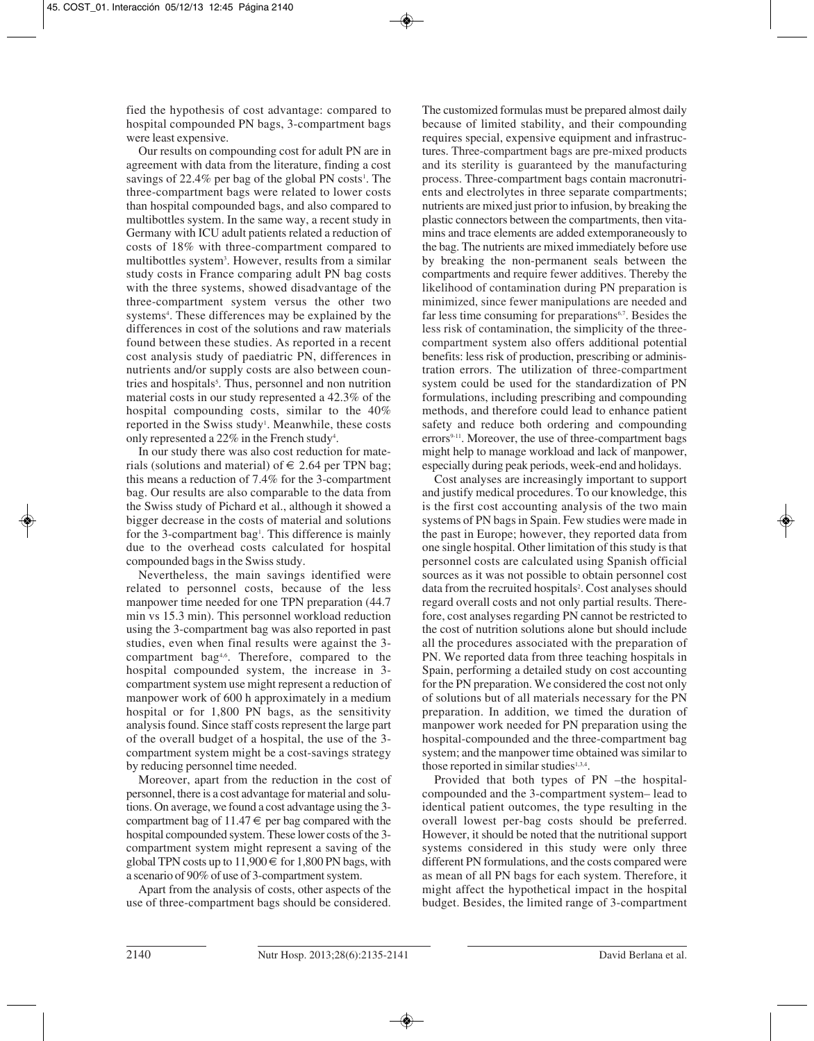fied the hypothesis of cost advantage: compared to hospital compounded PN bags, 3-compartment bags were least expensive.

Our results on compounding cost for adult PN are in agreement with data from the literature, finding a cost savings of 22.4% per bag of the global PN costs<sup>1</sup>. The three-compartment bags were related to lower costs than hospital compounded bags, and also compared to multibottles system. In the same way, a recent study in Germany with ICU adult patients related a reduction of costs of 18% with three-compartment compared to multibottles system3 . However, results from a similar study costs in France comparing adult PN bag costs with the three systems, showed disadvantage of the three-compartment system versus the other two systems<sup>4</sup>. These differences may be explained by the differences in cost of the solutions and raw materials found between these studies. As reported in a recent cost analysis study of paediatric PN, differences in nutrients and/or supply costs are also between countries and hospitals<sup>5</sup>. Thus, personnel and non nutrition material costs in our study represented a 42.3% of the hospital compounding costs, similar to the 40% reported in the Swiss study<sup>1</sup>. Meanwhile, these costs only represented a 22% in the French study<sup>4</sup>.

In our study there was also cost reduction for materials (solutions and material) of  $\epsilon$  2.64 per TPN bag; this means a reduction of 7.4% for the 3-compartment bag. Our results are also comparable to the data from the Swiss study of Pichard et al., although it showed a bigger decrease in the costs of material and solutions for the 3-compartment bag<sup>1</sup>. This difference is mainly due to the overhead costs calculated for hospital compounded bags in the Swiss study.

Nevertheless, the main savings identified were related to personnel costs, because of the less manpower time needed for one TPN preparation (44.7 min vs 15.3 min). This personnel workload reduction using the 3-compartment bag was also reported in past studies, even when final results were against the 3 compartment bag4,6. Therefore, compared to the hospital compounded system, the increase in 3 compartment system use might represent a reduction of manpower work of 600 h approximately in a medium hospital or for 1,800 PN bags, as the sensitivity analysis found. Since staff costs represent the large part of the overall budget of a hospital, the use of the 3 compartment system might be a cost-savings strategy by reducing personnel time needed.

Moreover, apart from the reduction in the cost of personnel, there is a cost advantage for material and solutions. On average, we found a cost advantage using the 3 compartment bag of  $11.47 \in$  per bag compared with the hospital compounded system. These lower costs of the 3 compartment system might represent a saving of the global TPN costs up to  $11,900 \in$  for 1,800 PN bags, with a scenario of 90% of use of 3-compartment system.

Apart from the analysis of costs, other aspects of the use of three-compartment bags should be considered.

The customized formulas must be prepared almost daily because of limited stability, and their compounding requires special, expensive equipment and infrastructures. Three-compartment bags are pre-mixed products and its sterility is guaranteed by the manufacturing process. Three-compartment bags contain macronutrients and electrolytes in three separate compartments; nutrients are mixed just prior to infusion, by breaking the plastic connectors between the compartments, then vitamins and trace elements are added extemporaneously to the bag. The nutrients are mixed immediately before use by breaking the non-permanent seals between the compartments and require fewer additives. Thereby the likelihood of contamination during PN preparation is minimized, since fewer manipulations are needed and far less time consuming for preparations<sup>6,7</sup>. Besides the less risk of contamination, the simplicity of the threecompartment system also offers additional potential benefits: less risk of production, prescribing or administration errors. The utilization of three-compartment system could be used for the standardization of PN formulations, including prescribing and compounding methods, and therefore could lead to enhance patient safety and reduce both ordering and compounding errors<sup>9-11</sup>. Moreover, the use of three-compartment bags might help to manage workload and lack of manpower, especially during peak periods, week-end and holidays.

Cost analyses are increasingly important to support and justify medical procedures. To our knowledge, this is the first cost accounting analysis of the two main systems of PN bags in Spain. Few studies were made in the past in Europe; however, they reported data from one single hospital. Other limitation of this study is that personnel costs are calculated using Spanish official sources as it was not possible to obtain personnel cost data from the recruited hospitals<sup>2</sup>. Cost analyses should regard overall costs and not only partial results. Therefore, cost analyses regarding PN cannot be restricted to the cost of nutrition solutions alone but should include all the procedures associated with the preparation of PN. We reported data from three teaching hospitals in Spain, performing a detailed study on cost accounting for the PN preparation. We considered the cost not only of solutions but of all materials necessary for the PN preparation. In addition, we timed the duration of manpower work needed for PN preparation using the hospital-compounded and the three-compartment bag system; and the manpower time obtained was similar to those reported in similar studies $1,3,4$ .

Provided that both types of PN –the hospitalcompounded and the 3-compartment system– lead to identical patient outcomes, the type resulting in the overall lowest per-bag costs should be preferred. However, it should be noted that the nutritional support systems considered in this study were only three different PN formulations, and the costs compared were as mean of all PN bags for each system. Therefore, it might affect the hypothetical impact in the hospital budget. Besides, the limited range of 3-compartment